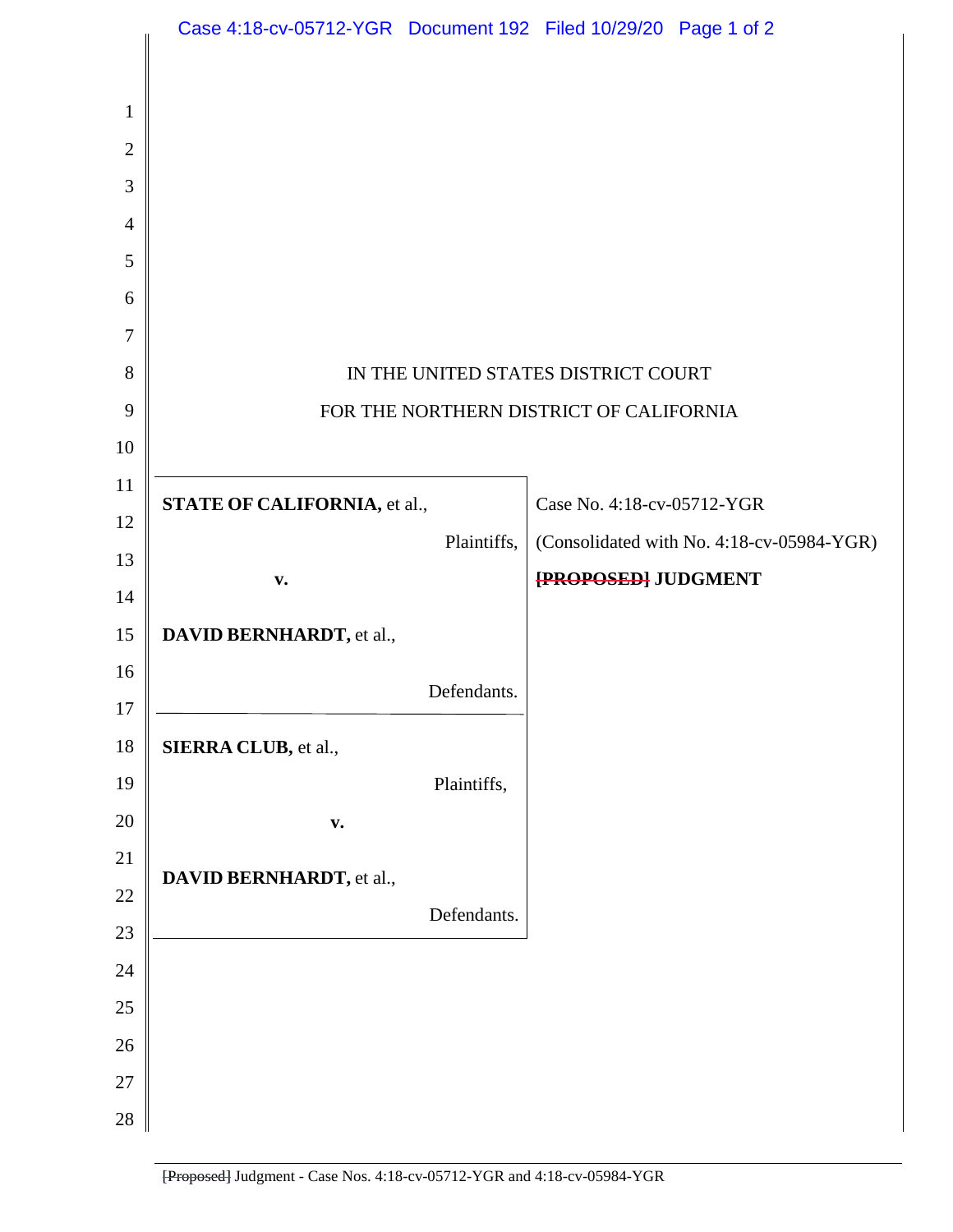